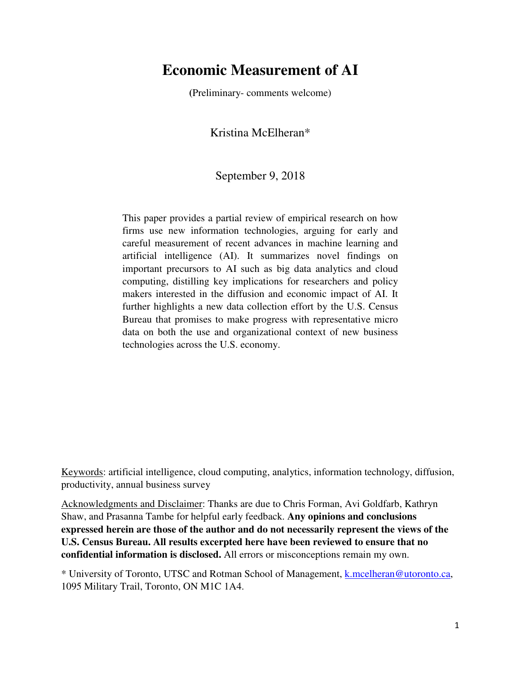# **Economic Measurement of AI**

**(**Preliminary- comments welcome)

Kristina McElheran\*

# September 9, 2018

This paper provides a partial review of empirical research on how firms use new information technologies, arguing for early and careful measurement of recent advances in machine learning and artificial intelligence (AI). It summarizes novel findings on important precursors to AI such as big data analytics and cloud computing, distilling key implications for researchers and policy makers interested in the diffusion and economic impact of AI. It further highlights a new data collection effort by the U.S. Census Bureau that promises to make progress with representative micro data on both the use and organizational context of new business technologies across the U.S. economy.

Keywords: artificial intelligence, cloud computing, analytics, information technology, diffusion, productivity, annual business survey

Acknowledgments and Disclaimer: Thanks are due to Chris Forman, Avi Goldfarb, Kathryn Shaw, and Prasanna Tambe for helpful early feedback. **Any opinions and conclusions expressed herein are those of the author and do not necessarily represent the views of the U.S. Census Bureau. All results excerpted here have been reviewed to ensure that no confidential information is disclosed.** All errors or misconceptions remain my own.

\* University of Toronto, UTSC and Rotman School of Management, k.mcelheran@utoronto.ca, 1095 Military Trail, Toronto, ON M1C 1A4.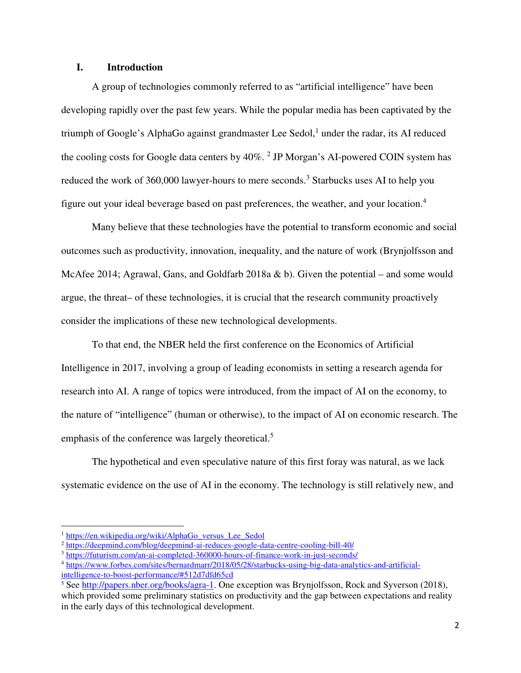# **I. Introduction**

A group of technologies commonly referred to as "artificial intelligence" have been developing rapidly over the past few years. While the popular media has been captivated by the triumph of Google's AlphaGo against grandmaster Lee Sedol, $<sup>1</sup>$  under the radar, its AI reduced</sup> the cooling costs for Google data centers by 40%.<sup>2</sup> JP Morgan's AI-powered COIN system has reduced the work of 360,000 lawyer-hours to mere seconds.<sup>3</sup> Starbucks uses AI to help you figure out your ideal beverage based on past preferences, the weather, and your location.<sup>4</sup>

Many believe that these technologies have the potential to transform economic and social outcomes such as productivity, innovation, inequality, and the nature of work (Brynjolfsson and McAfee 2014; Agrawal, Gans, and Goldfarb 2018a & b). Given the potential – and some would argue, the threat– of these technologies, it is crucial that the research community proactively consider the implications of these new technological developments.

 To that end, the NBER held the first conference on the Economics of Artificial Intelligence in 2017, involving a group of leading economists in setting a research agenda for research into AI. A range of topics were introduced, from the impact of AI on the economy, to the nature of "intelligence" (human or otherwise), to the impact of AI on economic research. The emphasis of the conference was largely theoretical.<sup>5</sup>

 The hypothetical and even speculative nature of this first foray was natural, as we lack systematic evidence on the use of AI in the economy. The technology is still relatively new, and

 $\overline{a}$ 

<sup>&</sup>lt;sup>1</sup> https://en.wikipedia.org/wiki/AlphaGo\_versus\_Lee\_Sedol

<sup>2</sup> https://deepmind.com/blog/deepmind-ai-reduces-google-data-centre-cooling-bill-40/

<sup>3</sup> https://futurism.com/an-ai-completed-360000-hours-of-finance-work-in-just-seconds/

<sup>4</sup> https://www.forbes.com/sites/bernardmarr/2018/05/28/starbucks-using-big-data-analytics-and-artificialintelligence-to-boost-performance/#512d7dfd65cd

<sup>&</sup>lt;sup>5</sup> See http://papers.nber.org/books/agra-1. One exception was Brynjolfsson, Rock and Syverson (2018), which provided some preliminary statistics on productivity and the gap between expectations and reality in the early days of this technological development.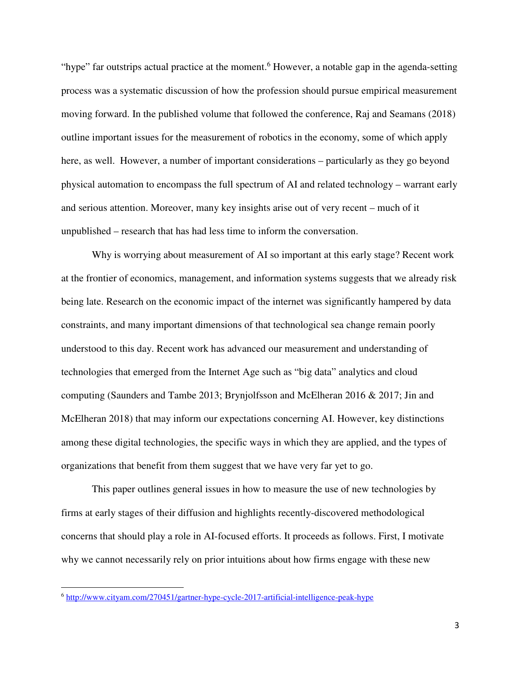"hype" far outstrips actual practice at the moment.<sup>6</sup> However, a notable gap in the agenda-setting process was a systematic discussion of how the profession should pursue empirical measurement moving forward. In the published volume that followed the conference, Raj and Seamans (2018) outline important issues for the measurement of robotics in the economy, some of which apply here, as well. However, a number of important considerations – particularly as they go beyond physical automation to encompass the full spectrum of AI and related technology – warrant early and serious attention. Moreover, many key insights arise out of very recent – much of it unpublished – research that has had less time to inform the conversation.

 Why is worrying about measurement of AI so important at this early stage? Recent work at the frontier of economics, management, and information systems suggests that we already risk being late. Research on the economic impact of the internet was significantly hampered by data constraints, and many important dimensions of that technological sea change remain poorly understood to this day. Recent work has advanced our measurement and understanding of technologies that emerged from the Internet Age such as "big data" analytics and cloud computing (Saunders and Tambe 2013; Brynjolfsson and McElheran 2016 & 2017; Jin and McElheran 2018) that may inform our expectations concerning AI. However, key distinctions among these digital technologies, the specific ways in which they are applied, and the types of organizations that benefit from them suggest that we have very far yet to go.

This paper outlines general issues in how to measure the use of new technologies by firms at early stages of their diffusion and highlights recently-discovered methodological concerns that should play a role in AI-focused efforts. It proceeds as follows. First, I motivate why we cannot necessarily rely on prior intuitions about how firms engage with these new

 $\overline{a}$ 

<sup>6</sup> http://www.cityam.com/270451/gartner-hype-cycle-2017-artificial-intelligence-peak-hype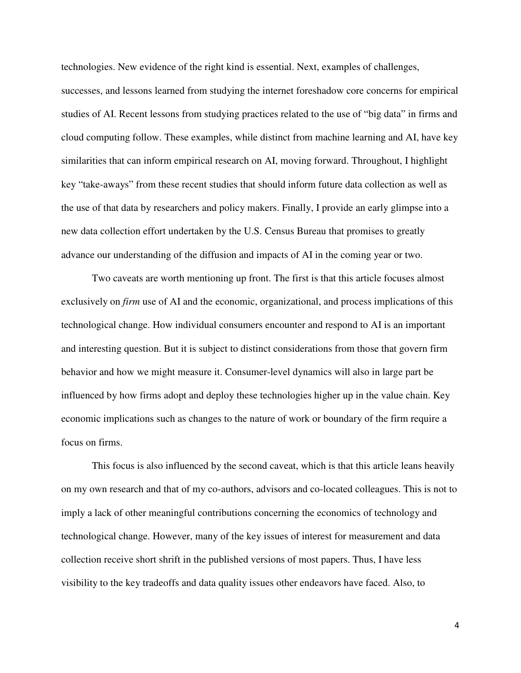technologies. New evidence of the right kind is essential. Next, examples of challenges,

successes, and lessons learned from studying the internet foreshadow core concerns for empirical studies of AI. Recent lessons from studying practices related to the use of "big data" in firms and cloud computing follow. These examples, while distinct from machine learning and AI, have key similarities that can inform empirical research on AI, moving forward. Throughout, I highlight key "take-aways" from these recent studies that should inform future data collection as well as the use of that data by researchers and policy makers. Finally, I provide an early glimpse into a new data collection effort undertaken by the U.S. Census Bureau that promises to greatly advance our understanding of the diffusion and impacts of AI in the coming year or two.

Two caveats are worth mentioning up front. The first is that this article focuses almost exclusively on *firm* use of AI and the economic, organizational, and process implications of this technological change. How individual consumers encounter and respond to AI is an important and interesting question. But it is subject to distinct considerations from those that govern firm behavior and how we might measure it. Consumer-level dynamics will also in large part be influenced by how firms adopt and deploy these technologies higher up in the value chain. Key economic implications such as changes to the nature of work or boundary of the firm require a focus on firms.

This focus is also influenced by the second caveat, which is that this article leans heavily on my own research and that of my co-authors, advisors and co-located colleagues. This is not to imply a lack of other meaningful contributions concerning the economics of technology and technological change. However, many of the key issues of interest for measurement and data collection receive short shrift in the published versions of most papers. Thus, I have less visibility to the key tradeoffs and data quality issues other endeavors have faced. Also, to

4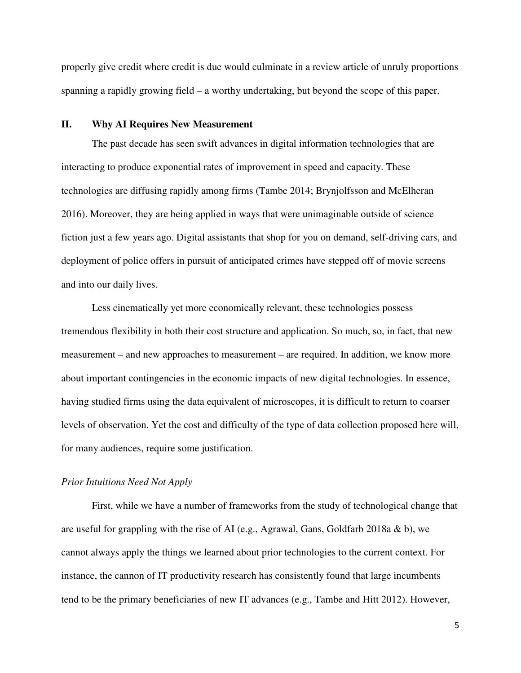properly give credit where credit is due would culminate in a review article of unruly proportions spanning a rapidly growing field – a worthy undertaking, but beyond the scope of this paper.

## **II. Why AI Requires New Measurement**

The past decade has seen swift advances in digital information technologies that are interacting to produce exponential rates of improvement in speed and capacity. These technologies are diffusing rapidly among firms (Tambe 2014; Brynjolfsson and McElheran 2016). Moreover, they are being applied in ways that were unimaginable outside of science fiction just a few years ago. Digital assistants that shop for you on demand, self-driving cars, and deployment of police offers in pursuit of anticipated crimes have stepped off of movie screens and into our daily lives.

Less cinematically yet more economically relevant, these technologies possess tremendous flexibility in both their cost structure and application. So much, so, in fact, that new measurement – and new approaches to measurement – are required. In addition, we know more about important contingencies in the economic impacts of new digital technologies. In essence, having studied firms using the data equivalent of microscopes, it is difficult to return to coarser levels of observation. Yet the cost and difficulty of the type of data collection proposed here will, for many audiences, require some justification.

# *Prior Intuitions Need Not Apply*

First, while we have a number of frameworks from the study of technological change that are useful for grappling with the rise of AI (e.g., Agrawal, Gans, Goldfarb 2018a & b), we cannot always apply the things we learned about prior technologies to the current context. For instance, the cannon of IT productivity research has consistently found that large incumbents tend to be the primary beneficiaries of new IT advances (e.g., Tambe and Hitt 2012). However,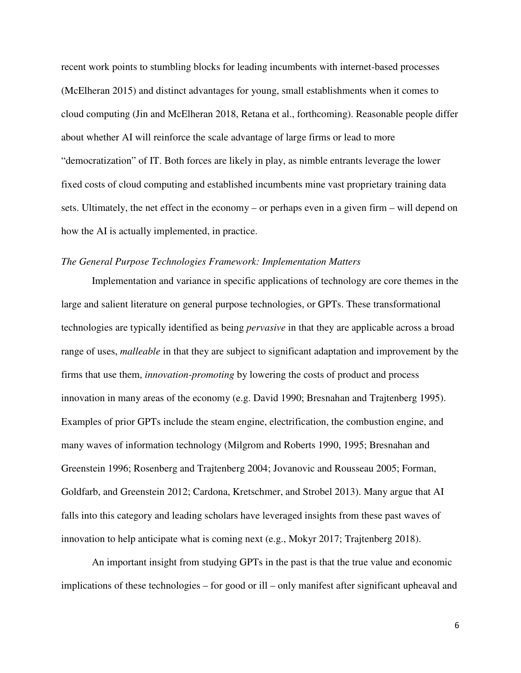recent work points to stumbling blocks for leading incumbents with internet-based processes (McElheran 2015) and distinct advantages for young, small establishments when it comes to cloud computing (Jin and McElheran 2018, Retana et al., forthcoming). Reasonable people differ about whether AI will reinforce the scale advantage of large firms or lead to more "democratization" of IT. Both forces are likely in play, as nimble entrants leverage the lower fixed costs of cloud computing and established incumbents mine vast proprietary training data sets. Ultimately, the net effect in the economy – or perhaps even in a given firm – will depend on how the AI is actually implemented, in practice.

# *The General Purpose Technologies Framework: Implementation Matters*

Implementation and variance in specific applications of technology are core themes in the large and salient literature on general purpose technologies, or GPTs. These transformational technologies are typically identified as being *pervasive* in that they are applicable across a broad range of uses, *malleable* in that they are subject to significant adaptation and improvement by the firms that use them, *innovation-promoting* by lowering the costs of product and process innovation in many areas of the economy (e.g. David 1990; Bresnahan and Trajtenberg 1995). Examples of prior GPTs include the steam engine, electrification, the combustion engine, and many waves of information technology (Milgrom and Roberts 1990, 1995; Bresnahan and Greenstein 1996; Rosenberg and Trajtenberg 2004; Jovanovic and Rousseau 2005; Forman, Goldfarb, and Greenstein 2012; Cardona, Kretschmer, and Strobel 2013). Many argue that AI falls into this category and leading scholars have leveraged insights from these past waves of innovation to help anticipate what is coming next (e.g., Mokyr 2017; Trajtenberg 2018).

An important insight from studying GPTs in the past is that the true value and economic implications of these technologies – for good or ill – only manifest after significant upheaval and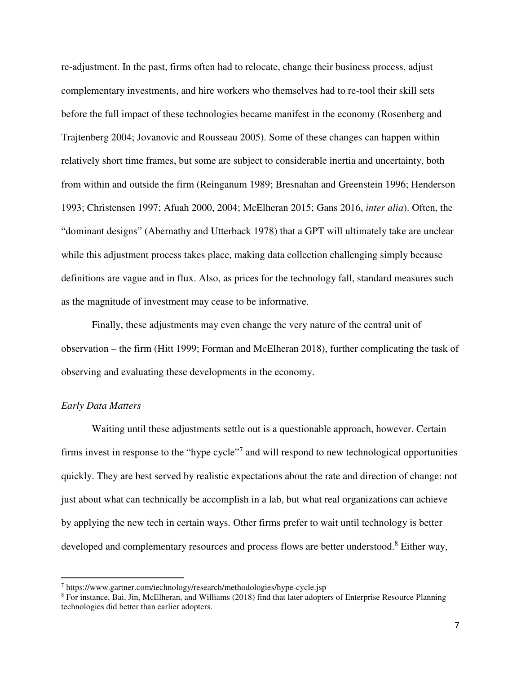re-adjustment. In the past, firms often had to relocate, change their business process, adjust complementary investments, and hire workers who themselves had to re-tool their skill sets before the full impact of these technologies became manifest in the economy (Rosenberg and Trajtenberg 2004; Jovanovic and Rousseau 2005). Some of these changes can happen within relatively short time frames, but some are subject to considerable inertia and uncertainty, both from within and outside the firm (Reinganum 1989; Bresnahan and Greenstein 1996; Henderson 1993; Christensen 1997; Afuah 2000, 2004; McElheran 2015; Gans 2016, *inter alia*). Often, the "dominant designs" (Abernathy and Utterback 1978) that a GPT will ultimately take are unclear while this adjustment process takes place, making data collection challenging simply because definitions are vague and in flux. Also, as prices for the technology fall, standard measures such as the magnitude of investment may cease to be informative.

Finally, these adjustments may even change the very nature of the central unit of observation – the firm (Hitt 1999; Forman and McElheran 2018), further complicating the task of observing and evaluating these developments in the economy.

# *Early Data Matters*

 $\overline{a}$ 

Waiting until these adjustments settle out is a questionable approach, however. Certain firms invest in response to the "hype cycle"<sup>7</sup> and will respond to new technological opportunities quickly. They are best served by realistic expectations about the rate and direction of change: not just about what can technically be accomplish in a lab, but what real organizations can achieve by applying the new tech in certain ways. Other firms prefer to wait until technology is better developed and complementary resources and process flows are better understood.<sup>8</sup> Either way,

<sup>7</sup> https://www.gartner.com/technology/research/methodologies/hype-cycle.jsp

<sup>&</sup>lt;sup>8</sup> For instance, Bai, Jin, McElheran, and Williams (2018) find that later adopters of Enterprise Resource Planning technologies did better than earlier adopters.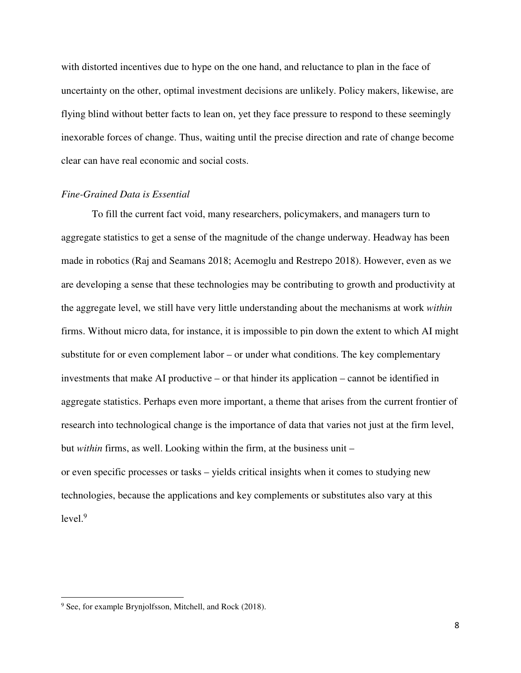with distorted incentives due to hype on the one hand, and reluctance to plan in the face of uncertainty on the other, optimal investment decisions are unlikely. Policy makers, likewise, are flying blind without better facts to lean on, yet they face pressure to respond to these seemingly inexorable forces of change. Thus, waiting until the precise direction and rate of change become clear can have real economic and social costs.

# *Fine-Grained Data is Essential*

To fill the current fact void, many researchers, policymakers, and managers turn to aggregate statistics to get a sense of the magnitude of the change underway. Headway has been made in robotics (Raj and Seamans 2018; Acemoglu and Restrepo 2018). However, even as we are developing a sense that these technologies may be contributing to growth and productivity at the aggregate level, we still have very little understanding about the mechanisms at work *within* firms. Without micro data, for instance, it is impossible to pin down the extent to which AI might substitute for or even complement labor – or under what conditions. The key complementary investments that make AI productive – or that hinder its application – cannot be identified in aggregate statistics. Perhaps even more important, a theme that arises from the current frontier of research into technological change is the importance of data that varies not just at the firm level, but *within* firms, as well. Looking within the firm, at the business unit – or even specific processes or tasks – yields critical insights when it comes to studying new technologies, because the applications and key complements or substitutes also vary at this  $level.<sup>9</sup>$ 

 $\overline{a}$ 

<sup>&</sup>lt;sup>9</sup> See, for example Brynjolfsson, Mitchell, and Rock (2018).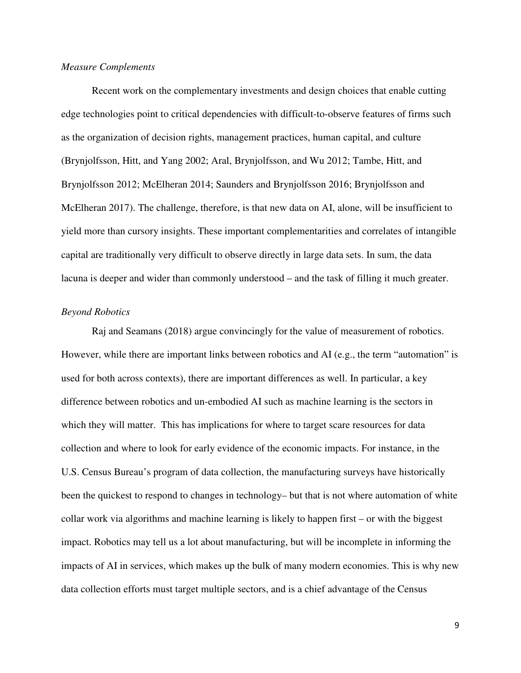# *Measure Complements*

Recent work on the complementary investments and design choices that enable cutting edge technologies point to critical dependencies with difficult-to-observe features of firms such as the organization of decision rights, management practices, human capital, and culture (Brynjolfsson, Hitt, and Yang 2002; Aral, Brynjolfsson, and Wu 2012; Tambe, Hitt, and Brynjolfsson 2012; McElheran 2014; Saunders and Brynjolfsson 2016; Brynjolfsson and McElheran 2017). The challenge, therefore, is that new data on AI, alone, will be insufficient to yield more than cursory insights. These important complementarities and correlates of intangible capital are traditionally very difficult to observe directly in large data sets. In sum, the data lacuna is deeper and wider than commonly understood – and the task of filling it much greater.

# *Beyond Robotics*

Raj and Seamans (2018) argue convincingly for the value of measurement of robotics. However, while there are important links between robotics and AI (e.g., the term "automation" is used for both across contexts), there are important differences as well. In particular, a key difference between robotics and un-embodied AI such as machine learning is the sectors in which they will matter. This has implications for where to target scare resources for data collection and where to look for early evidence of the economic impacts. For instance, in the U.S. Census Bureau's program of data collection, the manufacturing surveys have historically been the quickest to respond to changes in technology– but that is not where automation of white collar work via algorithms and machine learning is likely to happen first – or with the biggest impact. Robotics may tell us a lot about manufacturing, but will be incomplete in informing the impacts of AI in services, which makes up the bulk of many modern economies. This is why new data collection efforts must target multiple sectors, and is a chief advantage of the Census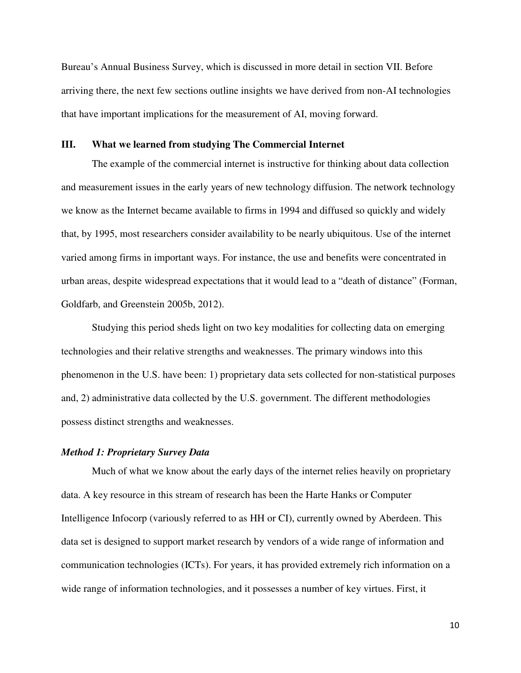Bureau's Annual Business Survey, which is discussed in more detail in section VII. Before arriving there, the next few sections outline insights we have derived from non-AI technologies that have important implications for the measurement of AI, moving forward.

### **III. What we learned from studying The Commercial Internet**

The example of the commercial internet is instructive for thinking about data collection and measurement issues in the early years of new technology diffusion. The network technology we know as the Internet became available to firms in 1994 and diffused so quickly and widely that, by 1995, most researchers consider availability to be nearly ubiquitous. Use of the internet varied among firms in important ways. For instance, the use and benefits were concentrated in urban areas, despite widespread expectations that it would lead to a "death of distance" (Forman, Goldfarb, and Greenstein 2005b, 2012).

Studying this period sheds light on two key modalities for collecting data on emerging technologies and their relative strengths and weaknesses. The primary windows into this phenomenon in the U.S. have been: 1) proprietary data sets collected for non-statistical purposes and, 2) administrative data collected by the U.S. government. The different methodologies possess distinct strengths and weaknesses.

# *Method 1: Proprietary Survey Data*

Much of what we know about the early days of the internet relies heavily on proprietary data. A key resource in this stream of research has been the Harte Hanks or Computer Intelligence Infocorp (variously referred to as HH or CI), currently owned by Aberdeen. This data set is designed to support market research by vendors of a wide range of information and communication technologies (ICTs). For years, it has provided extremely rich information on a wide range of information technologies, and it possesses a number of key virtues. First, it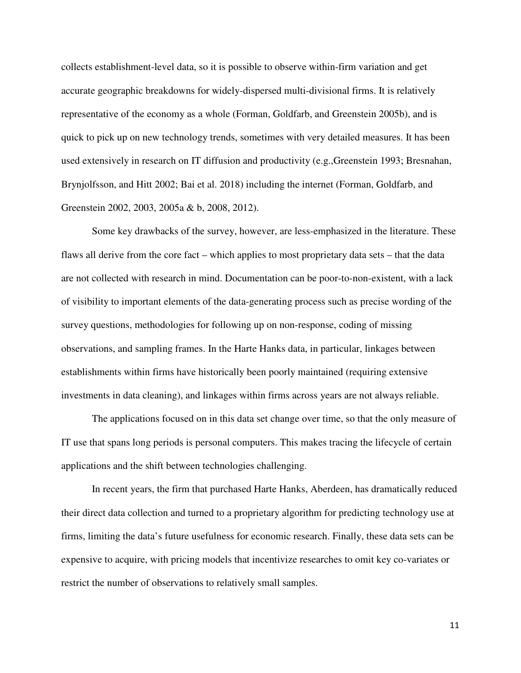collects establishment-level data, so it is possible to observe within-firm variation and get accurate geographic breakdowns for widely-dispersed multi-divisional firms. It is relatively representative of the economy as a whole (Forman, Goldfarb, and Greenstein 2005b), and is quick to pick up on new technology trends, sometimes with very detailed measures. It has been used extensively in research on IT diffusion and productivity (e.g.,Greenstein 1993; Bresnahan, Brynjolfsson, and Hitt 2002; Bai et al. 2018) including the internet (Forman, Goldfarb, and Greenstein 2002, 2003, 2005a & b, 2008, 2012).

Some key drawbacks of the survey, however, are less-emphasized in the literature. These flaws all derive from the core fact – which applies to most proprietary data sets – that the data are not collected with research in mind. Documentation can be poor-to-non-existent, with a lack of visibility to important elements of the data-generating process such as precise wording of the survey questions, methodologies for following up on non-response, coding of missing observations, and sampling frames. In the Harte Hanks data, in particular, linkages between establishments within firms have historically been poorly maintained (requiring extensive investments in data cleaning), and linkages within firms across years are not always reliable.

The applications focused on in this data set change over time, so that the only measure of IT use that spans long periods is personal computers. This makes tracing the lifecycle of certain applications and the shift between technologies challenging.

In recent years, the firm that purchased Harte Hanks, Aberdeen, has dramatically reduced their direct data collection and turned to a proprietary algorithm for predicting technology use at firms, limiting the data's future usefulness for economic research. Finally, these data sets can be expensive to acquire, with pricing models that incentivize researches to omit key co-variates or restrict the number of observations to relatively small samples.

11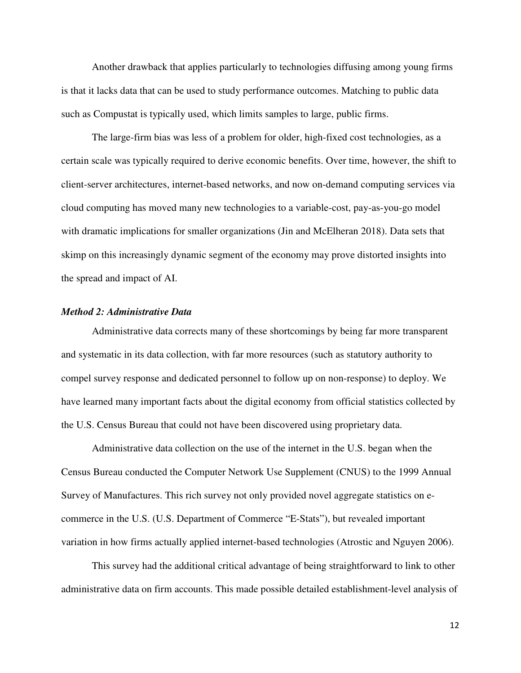Another drawback that applies particularly to technologies diffusing among young firms is that it lacks data that can be used to study performance outcomes. Matching to public data such as Compustat is typically used, which limits samples to large, public firms.

The large-firm bias was less of a problem for older, high-fixed cost technologies, as a certain scale was typically required to derive economic benefits. Over time, however, the shift to client-server architectures, internet-based networks, and now on-demand computing services via cloud computing has moved many new technologies to a variable-cost, pay-as-you-go model with dramatic implications for smaller organizations (Jin and McElheran 2018). Data sets that skimp on this increasingly dynamic segment of the economy may prove distorted insights into the spread and impact of AI.

### *Method 2: Administrative Data*

Administrative data corrects many of these shortcomings by being far more transparent and systematic in its data collection, with far more resources (such as statutory authority to compel survey response and dedicated personnel to follow up on non-response) to deploy. We have learned many important facts about the digital economy from official statistics collected by the U.S. Census Bureau that could not have been discovered using proprietary data.

Administrative data collection on the use of the internet in the U.S. began when the Census Bureau conducted the Computer Network Use Supplement (CNUS) to the 1999 Annual Survey of Manufactures. This rich survey not only provided novel aggregate statistics on ecommerce in the U.S. (U.S. Department of Commerce "E-Stats"), but revealed important variation in how firms actually applied internet-based technologies (Atrostic and Nguyen 2006).

This survey had the additional critical advantage of being straightforward to link to other administrative data on firm accounts. This made possible detailed establishment-level analysis of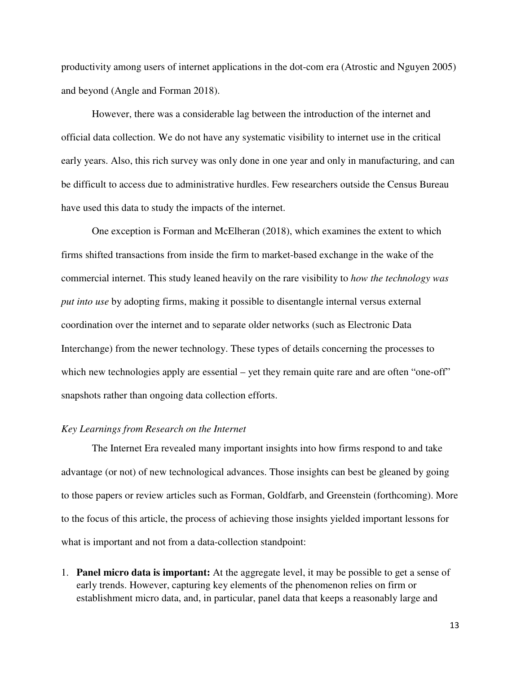productivity among users of internet applications in the dot-com era (Atrostic and Nguyen 2005) and beyond (Angle and Forman 2018).

However, there was a considerable lag between the introduction of the internet and official data collection. We do not have any systematic visibility to internet use in the critical early years. Also, this rich survey was only done in one year and only in manufacturing, and can be difficult to access due to administrative hurdles. Few researchers outside the Census Bureau have used this data to study the impacts of the internet.

One exception is Forman and McElheran (2018), which examines the extent to which firms shifted transactions from inside the firm to market-based exchange in the wake of the commercial internet. This study leaned heavily on the rare visibility to *how the technology was put into use* by adopting firms, making it possible to disentangle internal versus external coordination over the internet and to separate older networks (such as Electronic Data Interchange) from the newer technology. These types of details concerning the processes to which new technologies apply are essential – yet they remain quite rare and are often "one-off" snapshots rather than ongoing data collection efforts.

#### *Key Learnings from Research on the Internet*

 The Internet Era revealed many important insights into how firms respond to and take advantage (or not) of new technological advances. Those insights can best be gleaned by going to those papers or review articles such as Forman, Goldfarb, and Greenstein (forthcoming). More to the focus of this article, the process of achieving those insights yielded important lessons for what is important and not from a data-collection standpoint:

1. **Panel micro data is important:** At the aggregate level, it may be possible to get a sense of early trends. However, capturing key elements of the phenomenon relies on firm or establishment micro data, and, in particular, panel data that keeps a reasonably large and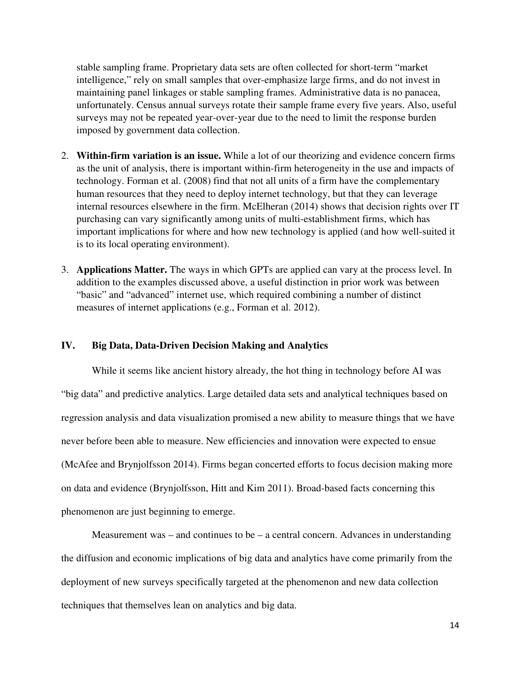stable sampling frame. Proprietary data sets are often collected for short-term "market intelligence," rely on small samples that over-emphasize large firms, and do not invest in maintaining panel linkages or stable sampling frames. Administrative data is no panacea, unfortunately. Census annual surveys rotate their sample frame every five years. Also, useful surveys may not be repeated year-over-year due to the need to limit the response burden imposed by government data collection.

- 2. **Within-firm variation is an issue.** While a lot of our theorizing and evidence concern firms as the unit of analysis, there is important within-firm heterogeneity in the use and impacts of technology. Forman et al. (2008) find that not all units of a firm have the complementary human resources that they need to deploy internet technology, but that they can leverage internal resources elsewhere in the firm. McElheran (2014) shows that decision rights over IT purchasing can vary significantly among units of multi-establishment firms, which has important implications for where and how new technology is applied (and how well-suited it is to its local operating environment).
- 3. **Applications Matter.** The ways in which GPTs are applied can vary at the process level. In addition to the examples discussed above, a useful distinction in prior work was between "basic" and "advanced" internet use, which required combining a number of distinct measures of internet applications (e.g., Forman et al. 2012).

# **IV. Big Data, Data-Driven Decision Making and Analytics**

While it seems like ancient history already, the hot thing in technology before AI was "big data" and predictive analytics. Large detailed data sets and analytical techniques based on regression analysis and data visualization promised a new ability to measure things that we have never before been able to measure. New efficiencies and innovation were expected to ensue (McAfee and Brynjolfsson 2014). Firms began concerted efforts to focus decision making more on data and evidence (Brynjolfsson, Hitt and Kim 2011). Broad-based facts concerning this phenomenon are just beginning to emerge.

Measurement was – and continues to be – a central concern. Advances in understanding the diffusion and economic implications of big data and analytics have come primarily from the deployment of new surveys specifically targeted at the phenomenon and new data collection techniques that themselves lean on analytics and big data.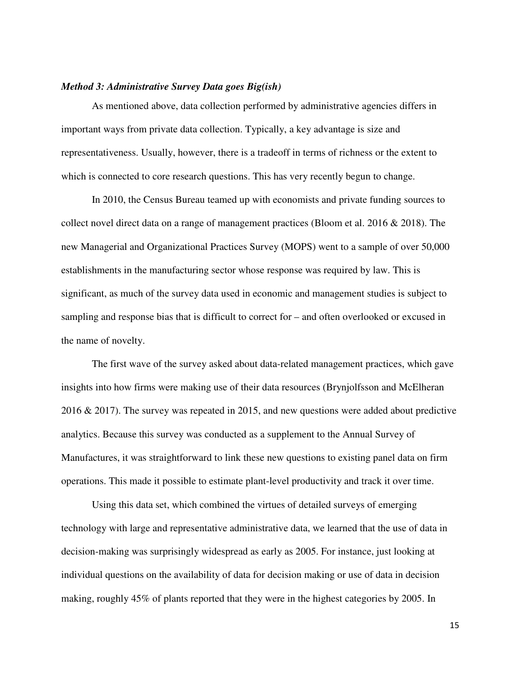## *Method 3: Administrative Survey Data goes Big(ish)*

As mentioned above, data collection performed by administrative agencies differs in important ways from private data collection. Typically, a key advantage is size and representativeness. Usually, however, there is a tradeoff in terms of richness or the extent to which is connected to core research questions. This has very recently begun to change.

In 2010, the Census Bureau teamed up with economists and private funding sources to collect novel direct data on a range of management practices (Bloom et al. 2016 & 2018). The new Managerial and Organizational Practices Survey (MOPS) went to a sample of over 50,000 establishments in the manufacturing sector whose response was required by law. This is significant, as much of the survey data used in economic and management studies is subject to sampling and response bias that is difficult to correct for – and often overlooked or excused in the name of novelty.

The first wave of the survey asked about data-related management practices, which gave insights into how firms were making use of their data resources (Brynjolfsson and McElheran 2016 & 2017). The survey was repeated in 2015, and new questions were added about predictive analytics. Because this survey was conducted as a supplement to the Annual Survey of Manufactures, it was straightforward to link these new questions to existing panel data on firm operations. This made it possible to estimate plant-level productivity and track it over time.

Using this data set, which combined the virtues of detailed surveys of emerging technology with large and representative administrative data, we learned that the use of data in decision-making was surprisingly widespread as early as 2005. For instance, just looking at individual questions on the availability of data for decision making or use of data in decision making, roughly 45% of plants reported that they were in the highest categories by 2005. In

15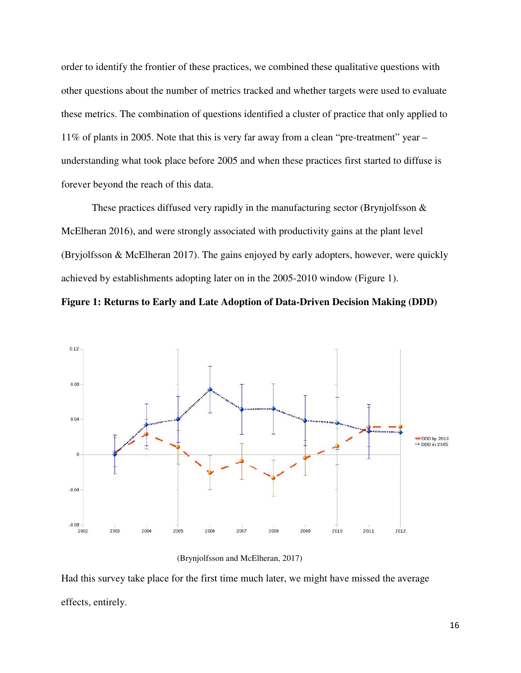order to identify the frontier of these practices, we combined these qualitative questions with other questions about the number of metrics tracked and whether targets were used to evaluate these metrics. The combination of questions identified a cluster of practice that only applied to 11% of plants in 2005. Note that this is very far away from a clean "pre-treatment" year – understanding what took place before 2005 and when these practices first started to diffuse is forever beyond the reach of this data.

These practices diffused very rapidly in the manufacturing sector (Brynjolfsson & McElheran 2016), and were strongly associated with productivity gains at the plant level (Bryjolfsson & McElheran 2017). The gains enjoyed by early adopters, however, were quickly achieved by establishments adopting later on in the 2005-2010 window (Figure 1).

**Figure 1: Returns to Early and Late Adoption of Data-Driven Decision Making (DDD)**



(Brynjolfsson and McElheran, 2017)

Had this survey take place for the first time much later, we might have missed the average effects, entirely.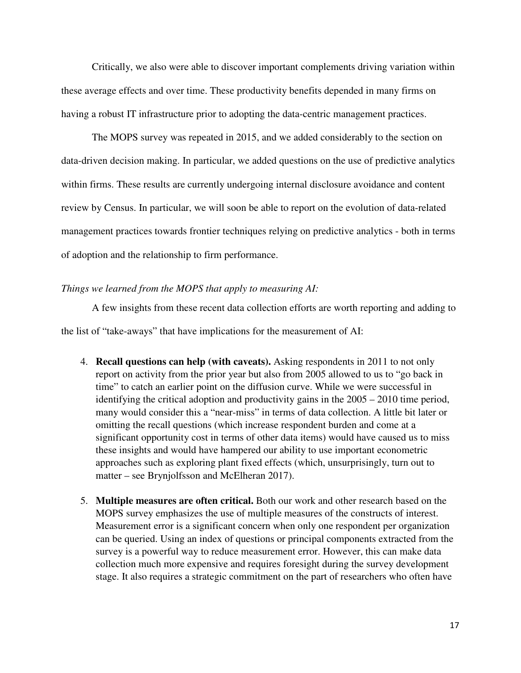Critically, we also were able to discover important complements driving variation within these average effects and over time. These productivity benefits depended in many firms on having a robust IT infrastructure prior to adopting the data-centric management practices.

The MOPS survey was repeated in 2015, and we added considerably to the section on data-driven decision making. In particular, we added questions on the use of predictive analytics within firms. These results are currently undergoing internal disclosure avoidance and content review by Census. In particular, we will soon be able to report on the evolution of data-related management practices towards frontier techniques relying on predictive analytics - both in terms of adoption and the relationship to firm performance.

# *Things we learned from the MOPS that apply to measuring AI:*

A few insights from these recent data collection efforts are worth reporting and adding to the list of "take-aways" that have implications for the measurement of AI:

- 4. **Recall questions can help (with caveats).** Asking respondents in 2011 to not only report on activity from the prior year but also from 2005 allowed to us to "go back in time" to catch an earlier point on the diffusion curve. While we were successful in identifying the critical adoption and productivity gains in the 2005 – 2010 time period, many would consider this a "near-miss" in terms of data collection. A little bit later or omitting the recall questions (which increase respondent burden and come at a significant opportunity cost in terms of other data items) would have caused us to miss these insights and would have hampered our ability to use important econometric approaches such as exploring plant fixed effects (which, unsurprisingly, turn out to matter – see Brynjolfsson and McElheran 2017).
- 5. **Multiple measures are often critical.** Both our work and other research based on the MOPS survey emphasizes the use of multiple measures of the constructs of interest. Measurement error is a significant concern when only one respondent per organization can be queried. Using an index of questions or principal components extracted from the survey is a powerful way to reduce measurement error. However, this can make data collection much more expensive and requires foresight during the survey development stage. It also requires a strategic commitment on the part of researchers who often have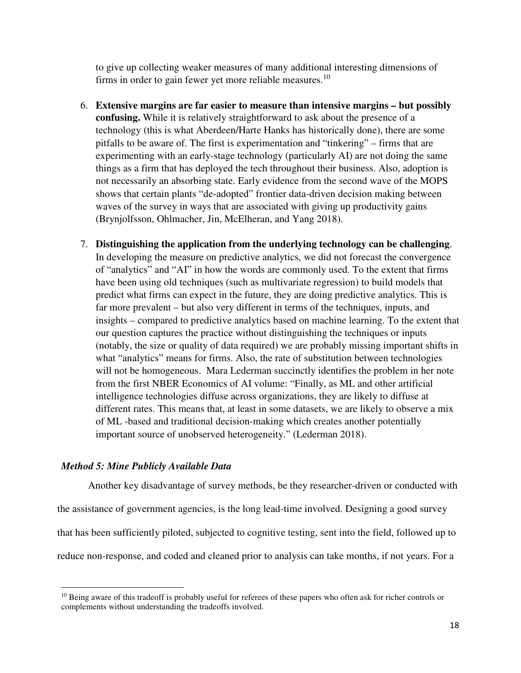to give up collecting weaker measures of many additional interesting dimensions of firms in order to gain fewer yet more reliable measures.<sup>10</sup>

- 6. **Extensive margins are far easier to measure than intensive margins but possibly confusing.** While it is relatively straightforward to ask about the presence of a technology (this is what Aberdeen/Harte Hanks has historically done), there are some pitfalls to be aware of. The first is experimentation and "tinkering" – firms that are experimenting with an early-stage technology (particularly AI) are not doing the same things as a firm that has deployed the tech throughout their business. Also, adoption is not necessarily an absorbing state. Early evidence from the second wave of the MOPS shows that certain plants "de-adopted" frontier data-driven decision making between waves of the survey in ways that are associated with giving up productivity gains (Brynjolfsson, Ohlmacher, Jin, McElheran, and Yang 2018).
- 7. **Distinguishing the application from the underlying technology can be challenging**. In developing the measure on predictive analytics, we did not forecast the convergence of "analytics" and "AI" in how the words are commonly used. To the extent that firms have been using old techniques (such as multivariate regression) to build models that predict what firms can expect in the future, they are doing predictive analytics. This is far more prevalent – but also very different in terms of the techniques, inputs, and insights – compared to predictive analytics based on machine learning. To the extent that our question captures the practice without distinguishing the techniques or inputs (notably, the size or quality of data required) we are probably missing important shifts in what "analytics" means for firms. Also, the rate of substitution between technologies will not be homogeneous. Mara Lederman succinctly identifies the problem in her note from the first NBER Economics of AI volume: "Finally, as ML and other artificial intelligence technologies diffuse across organizations, they are likely to diffuse at different rates. This means that, at least in some datasets, we are likely to observe a mix of ML -based and traditional decision-making which creates another potentially important source of unobserved heterogeneity." (Lederman 2018).

# *Method 5: Mine Publicly Available Data*

 $\overline{a}$ 

Another key disadvantage of survey methods, be they researcher-driven or conducted with the assistance of government agencies, is the long lead-time involved. Designing a good survey that has been sufficiently piloted, subjected to cognitive testing, sent into the field, followed up to reduce non-response, and coded and cleaned prior to analysis can take months, if not years. For a

 $10$  Being aware of this tradeoff is probably useful for referees of these papers who often ask for richer controls or complements without understanding the tradeoffs involved.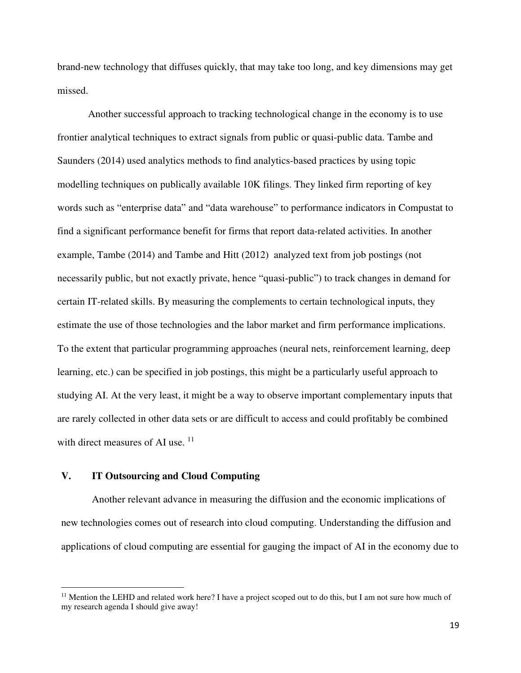brand-new technology that diffuses quickly, that may take too long, and key dimensions may get missed.

Another successful approach to tracking technological change in the economy is to use frontier analytical techniques to extract signals from public or quasi-public data. Tambe and Saunders (2014) used analytics methods to find analytics-based practices by using topic modelling techniques on publically available 10K filings. They linked firm reporting of key words such as "enterprise data" and "data warehouse" to performance indicators in Compustat to find a significant performance benefit for firms that report data-related activities. In another example, Tambe (2014) and Tambe and Hitt (2012) analyzed text from job postings (not necessarily public, but not exactly private, hence "quasi-public") to track changes in demand for certain IT-related skills. By measuring the complements to certain technological inputs, they estimate the use of those technologies and the labor market and firm performance implications. To the extent that particular programming approaches (neural nets, reinforcement learning, deep learning, etc.) can be specified in job postings, this might be a particularly useful approach to studying AI. At the very least, it might be a way to observe important complementary inputs that are rarely collected in other data sets or are difficult to access and could profitably be combined with direct measures of AI use.  $11$ 

# **V. IT Outsourcing and Cloud Computing**

 $\overline{a}$ 

Another relevant advance in measuring the diffusion and the economic implications of new technologies comes out of research into cloud computing. Understanding the diffusion and applications of cloud computing are essential for gauging the impact of AI in the economy due to

 $11$  Mention the LEHD and related work here? I have a project scoped out to do this, but I am not sure how much of my research agenda I should give away!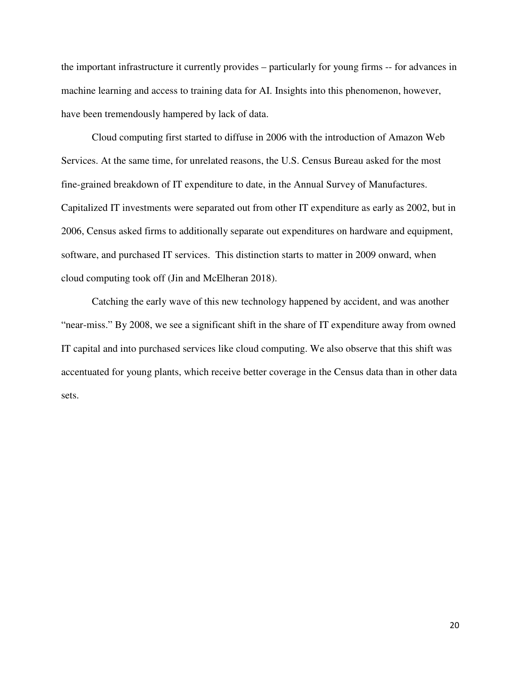the important infrastructure it currently provides – particularly for young firms -- for advances in machine learning and access to training data for AI. Insights into this phenomenon, however, have been tremendously hampered by lack of data.

Cloud computing first started to diffuse in 2006 with the introduction of Amazon Web Services. At the same time, for unrelated reasons, the U.S. Census Bureau asked for the most fine-grained breakdown of IT expenditure to date, in the Annual Survey of Manufactures. Capitalized IT investments were separated out from other IT expenditure as early as 2002, but in 2006, Census asked firms to additionally separate out expenditures on hardware and equipment, software, and purchased IT services. This distinction starts to matter in 2009 onward, when cloud computing took off (Jin and McElheran 2018).

Catching the early wave of this new technology happened by accident, and was another "near-miss." By 2008, we see a significant shift in the share of IT expenditure away from owned IT capital and into purchased services like cloud computing. We also observe that this shift was accentuated for young plants, which receive better coverage in the Census data than in other data sets.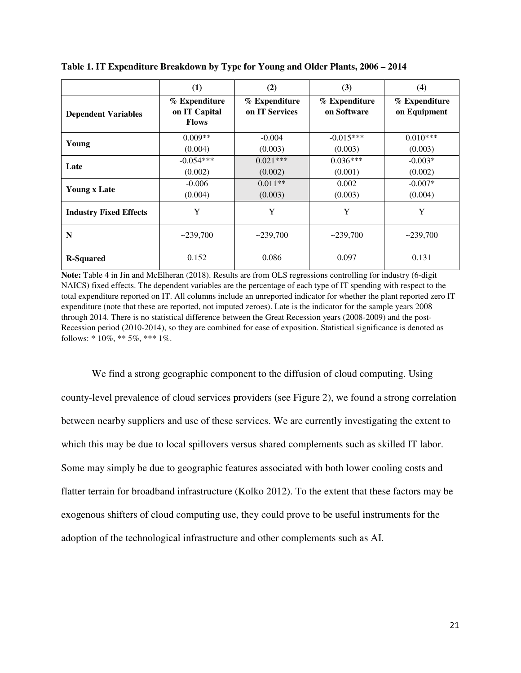|                               | (1)                                            | (2)                             | (3)                          | (4)                           |
|-------------------------------|------------------------------------------------|---------------------------------|------------------------------|-------------------------------|
| <b>Dependent Variables</b>    | % Expenditure<br>on IT Capital<br><b>Flows</b> | % Expenditure<br>on IT Services | % Expenditure<br>on Software | % Expenditure<br>on Equipment |
| Young                         | $0.009**$<br>(0.004)                           | $-0.004$<br>(0.003)             | $-0.015***$<br>(0.003)       | $0.010***$<br>(0.003)         |
| Late                          | $-0.054***$<br>(0.002)                         | $0.021***$<br>(0.002)           | $0.036***$<br>(0.001)        | $-0.003*$<br>(0.002)          |
| <b>Young x Late</b>           | $-0.006$<br>(0.004)                            | $0.011**$<br>(0.003)            | 0.002<br>(0.003)             | $-0.007*$<br>(0.004)          |
| <b>Industry Fixed Effects</b> | Y                                              | Y                               | Y                            | Y                             |
| N                             | ~239,700                                       | ~239,700                        | ~239,700                     | ~239,700                      |
| <b>R-Squared</b>              | 0.152                                          | 0.086                           | 0.097                        | 0.131                         |

**Table 1. IT Expenditure Breakdown by Type for Young and Older Plants, 2006 – 2014** 

**Note:** Table 4 in Jin and McElheran (2018). Results are from OLS regressions controlling for industry (6-digit NAICS) fixed effects. The dependent variables are the percentage of each type of IT spending with respect to the total expenditure reported on IT. All columns include an unreported indicator for whether the plant reported zero IT expenditure (note that these are reported, not imputed zeroes). Late is the indicator for the sample years 2008 through 2014. There is no statistical difference between the Great Recession years (2008-2009) and the post-Recession period (2010-2014), so they are combined for ease of exposition. Statistical significance is denoted as follows:  $* 10\%, ** 5\%, *** 1\%$ .

We find a strong geographic component to the diffusion of cloud computing. Using county-level prevalence of cloud services providers (see Figure 2), we found a strong correlation between nearby suppliers and use of these services. We are currently investigating the extent to which this may be due to local spillovers versus shared complements such as skilled IT labor. Some may simply be due to geographic features associated with both lower cooling costs and flatter terrain for broadband infrastructure (Kolko 2012). To the extent that these factors may be exogenous shifters of cloud computing use, they could prove to be useful instruments for the adoption of the technological infrastructure and other complements such as AI.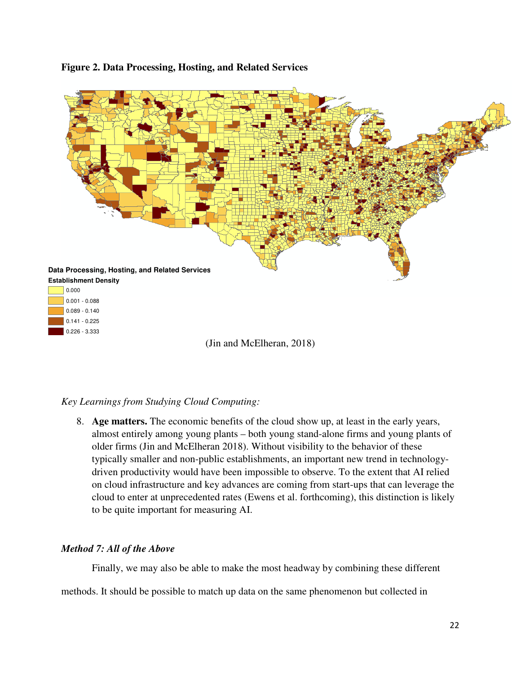

# **Figure 2. Data Processing, Hosting, and Related Services**

# *Key Learnings from Studying Cloud Computing:*

8. **Age matters.** The economic benefits of the cloud show up, at least in the early years, almost entirely among young plants – both young stand-alone firms and young plants of older firms (Jin and McElheran 2018). Without visibility to the behavior of these typically smaller and non-public establishments, an important new trend in technologydriven productivity would have been impossible to observe. To the extent that AI relied on cloud infrastructure and key advances are coming from start-ups that can leverage the cloud to enter at unprecedented rates (Ewens et al. forthcoming), this distinction is likely to be quite important for measuring AI.

# *Method 7: All of the Above*

Finally, we may also be able to make the most headway by combining these different

methods. It should be possible to match up data on the same phenomenon but collected in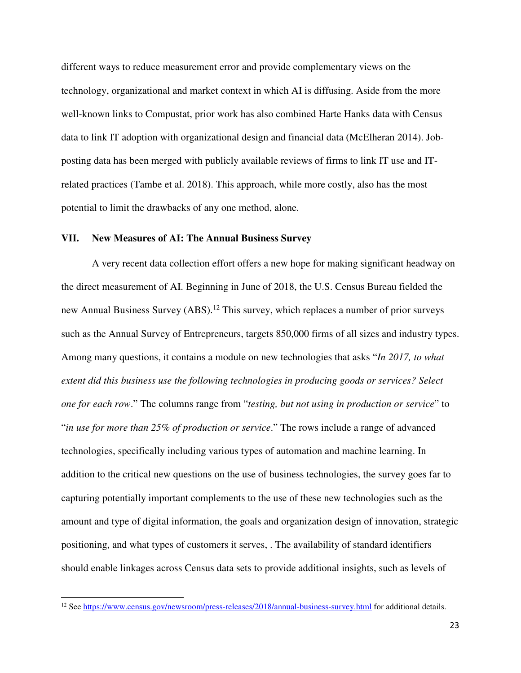different ways to reduce measurement error and provide complementary views on the technology, organizational and market context in which AI is diffusing. Aside from the more well-known links to Compustat, prior work has also combined Harte Hanks data with Census data to link IT adoption with organizational design and financial data (McElheran 2014). Jobposting data has been merged with publicly available reviews of firms to link IT use and ITrelated practices (Tambe et al. 2018). This approach, while more costly, also has the most potential to limit the drawbacks of any one method, alone.

# **VII. New Measures of AI: The Annual Business Survey**

A very recent data collection effort offers a new hope for making significant headway on the direct measurement of AI. Beginning in June of 2018, the U.S. Census Bureau fielded the new Annual Business Survey (ABS).<sup>12</sup> This survey, which replaces a number of prior surveys such as the Annual Survey of Entrepreneurs, targets 850,000 firms of all sizes and industry types. Among many questions, it contains a module on new technologies that asks "*In 2017, to what extent did this business use the following technologies in producing goods or services? Select one for each row*." The columns range from "*testing, but not using in production or service*" to "*in use for more than 25% of production or service*." The rows include a range of advanced technologies, specifically including various types of automation and machine learning. In addition to the critical new questions on the use of business technologies, the survey goes far to capturing potentially important complements to the use of these new technologies such as the amount and type of digital information, the goals and organization design of innovation, strategic positioning, and what types of customers it serves, . The availability of standard identifiers should enable linkages across Census data sets to provide additional insights, such as levels of

 $\overline{a}$ 

<sup>&</sup>lt;sup>12</sup> See https://www.census.gov/newsroom/press-releases/2018/annual-business-survey.html for additional details.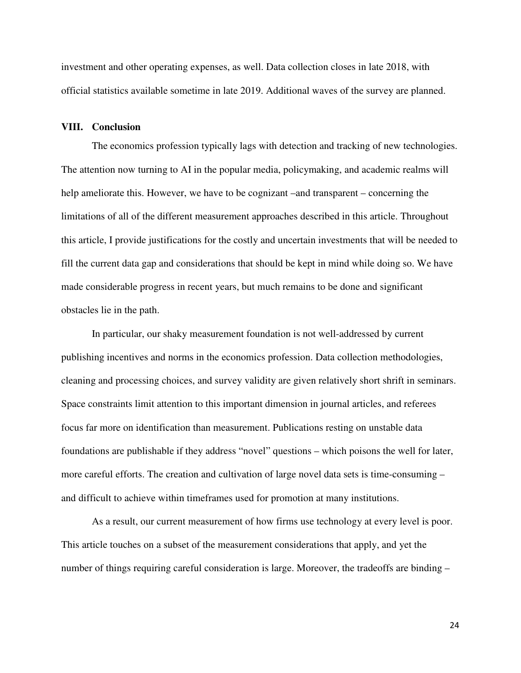investment and other operating expenses, as well. Data collection closes in late 2018, with official statistics available sometime in late 2019. Additional waves of the survey are planned.

# **VIII. Conclusion**

The economics profession typically lags with detection and tracking of new technologies. The attention now turning to AI in the popular media, policymaking, and academic realms will help ameliorate this. However, we have to be cognizant –and transparent – concerning the limitations of all of the different measurement approaches described in this article. Throughout this article, I provide justifications for the costly and uncertain investments that will be needed to fill the current data gap and considerations that should be kept in mind while doing so. We have made considerable progress in recent years, but much remains to be done and significant obstacles lie in the path.

In particular, our shaky measurement foundation is not well-addressed by current publishing incentives and norms in the economics profession. Data collection methodologies, cleaning and processing choices, and survey validity are given relatively short shrift in seminars. Space constraints limit attention to this important dimension in journal articles, and referees focus far more on identification than measurement. Publications resting on unstable data foundations are publishable if they address "novel" questions – which poisons the well for later, more careful efforts. The creation and cultivation of large novel data sets is time-consuming – and difficult to achieve within timeframes used for promotion at many institutions.

As a result, our current measurement of how firms use technology at every level is poor. This article touches on a subset of the measurement considerations that apply, and yet the number of things requiring careful consideration is large. Moreover, the tradeoffs are binding –

24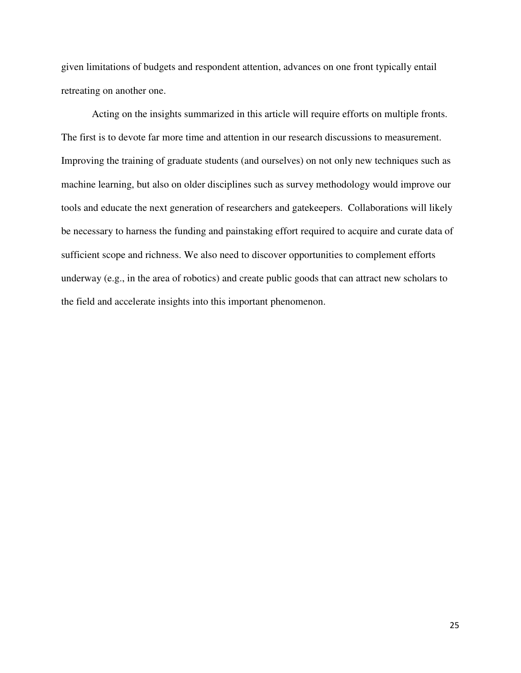given limitations of budgets and respondent attention, advances on one front typically entail retreating on another one.

Acting on the insights summarized in this article will require efforts on multiple fronts. The first is to devote far more time and attention in our research discussions to measurement. Improving the training of graduate students (and ourselves) on not only new techniques such as machine learning, but also on older disciplines such as survey methodology would improve our tools and educate the next generation of researchers and gatekeepers. Collaborations will likely be necessary to harness the funding and painstaking effort required to acquire and curate data of sufficient scope and richness. We also need to discover opportunities to complement efforts underway (e.g., in the area of robotics) and create public goods that can attract new scholars to the field and accelerate insights into this important phenomenon.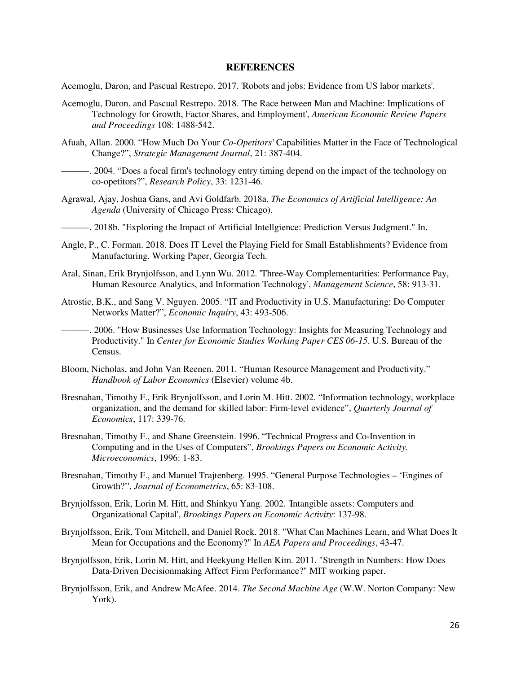#### **REFERENCES**

Acemoglu, Daron, and Pascual Restrepo. 2017. 'Robots and jobs: Evidence from US labor markets'.

- Acemoglu, Daron, and Pascual Restrepo. 2018. 'The Race between Man and Machine: Implications of Technology for Growth, Factor Shares, and Employment', *American Economic Review Papers and Proceedings* 108: 1488-542.
- Afuah, Allan. 2000. "How Much Do Your *Co-Opetitors'* Capabilities Matter in the Face of Technological Change?", *Strategic Management Journal*, 21: 387-404.
- ———. 2004. "Does a focal firm's technology entry timing depend on the impact of the technology on co-opetitors?", *Research Policy*, 33: 1231-46.
- Agrawal, Ajay, Joshua Gans, and Avi Goldfarb. 2018a. *The Economics of Artificial Intelligence: An Agenda* (University of Chicago Press: Chicago).
- ———. 2018b. "Exploring the Impact of Artificial Intellgience: Prediction Versus Judgment." In.
- Angle, P., C. Forman. 2018. Does IT Level the Playing Field for Small Establishments? Evidence from Manufacturing. Working Paper, Georgia Tech.
- Aral, Sinan, Erik Brynjolfsson, and Lynn Wu. 2012. 'Three-Way Complementarities: Performance Pay, Human Resource Analytics, and Information Technology', *Management Science*, 58: 913-31.
- Atrostic, B.K., and Sang V. Nguyen. 2005. "IT and Productivity in U.S. Manufacturing: Do Computer Networks Matter?", *Economic Inquiry*, 43: 493-506.
- ———. 2006. "How Businesses Use Information Technology: Insights for Measuring Technology and Productivity." In *Center for Economic Studies Working Paper CES 06-15*. U.S. Bureau of the Census.
- Bloom, Nicholas, and John Van Reenen. 2011. "Human Resource Management and Productivity." *Handbook of Labor Economics* (Elsevier) volume 4b.
- Bresnahan, Timothy F., Erik Brynjolfsson, and Lorin M. Hitt. 2002. "Information technology, workplace organization, and the demand for skilled labor: Firm-level evidence", *Quarterly Journal of Economics*, 117: 339-76.
- Bresnahan, Timothy F., and Shane Greenstein. 1996. "Technical Progress and Co-Invention in Computing and in the Uses of Computers", *Brookings Papers on Economic Activity. Microeconomics*, 1996: 1-83.
- Bresnahan, Timothy F., and Manuel Trajtenberg. 1995. "General Purpose Technologies 'Engines of Growth?'', *Journal of Econometrics*, 65: 83-108.
- Brynjolfsson, Erik, Lorin M. Hitt, and Shinkyu Yang. 2002. 'Intangible assets: Computers and Organizational Capital', *Brookings Papers on Economic Activity*: 137-98.
- Brynjolfsson, Erik, Tom Mitchell, and Daniel Rock. 2018. "What Can Machines Learn, and What Does It Mean for Occupations and the Economy?" In *AEA Papers and Proceedings*, 43-47.
- Brynjolfsson, Erik, Lorin M. Hitt, and Heekyung Hellen Kim. 2011. "Strength in Numbers: How Does Data-Driven Decisionmaking Affect Firm Performance?" MIT working paper.
- Brynjolfsson, Erik, and Andrew McAfee. 2014. *The Second Machine Age* (W.W. Norton Company: New York).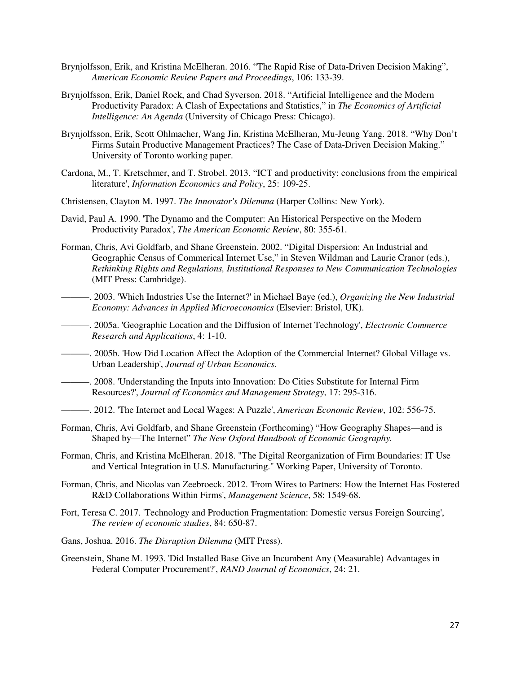- Brynjolfsson, Erik, and Kristina McElheran. 2016. "The Rapid Rise of Data-Driven Decision Making", *American Economic Review Papers and Proceedings*, 106: 133-39.
- Brynjolfsson, Erik, Daniel Rock, and Chad Syverson. 2018. "Artificial Intelligence and the Modern Productivity Paradox: A Clash of Expectations and Statistics," in *The Economics of Artificial Intelligence: An Agenda* (University of Chicago Press: Chicago).
- Brynjolfsson, Erik, Scott Ohlmacher, Wang Jin, Kristina McElheran, Mu-Jeung Yang. 2018. "Why Don't Firms Sutain Productive Management Practices? The Case of Data-Driven Decision Making." University of Toronto working paper.
- Cardona, M., T. Kretschmer, and T. Strobel. 2013. "ICT and productivity: conclusions from the empirical literature', *Information Economics and Policy*, 25: 109-25.
- Christensen, Clayton M. 1997. *The Innovator's Dilemma* (Harper Collins: New York).
- David, Paul A. 1990. 'The Dynamo and the Computer: An Historical Perspective on the Modern Productivity Paradox', *The American Economic Review*, 80: 355-61.
- Forman, Chris, Avi Goldfarb, and Shane Greenstein. 2002. "Digital Dispersion: An Industrial and Geographic Census of Commerical Internet Use," in Steven Wildman and Laurie Cranor (eds.), *Rethinking Rights and Regulations, Institutional Responses to New Communication Technologies* (MIT Press: Cambridge).
- ———. 2003. 'Which Industries Use the Internet?' in Michael Baye (ed.), *Organizing the New Industrial Economy: Advances in Applied Microeconomics* (Elsevier: Bristol, UK).
- ———. 2005a. 'Geographic Location and the Diffusion of Internet Technology', *Electronic Commerce Research and Applications*, 4: 1-10.
- ———. 2005b. 'How Did Location Affect the Adoption of the Commercial Internet? Global Village vs. Urban Leadership', *Journal of Urban Economics*.
- ———. 2008. 'Understanding the Inputs into Innovation: Do Cities Substitute for Internal Firm Resources?', *Journal of Economics and Management Strategy*, 17: 295-316.
- ———. 2012. 'The Internet and Local Wages: A Puzzle', *American Economic Review*, 102: 556-75.
- Forman, Chris, Avi Goldfarb, and Shane Greenstein (Forthcoming) "How Geography Shapes—and is Shaped by—The Internet" *The New Oxford Handbook of Economic Geography.*
- Forman, Chris, and Kristina McElheran. 2018. "The Digital Reorganization of Firm Boundaries: IT Use and Vertical Integration in U.S. Manufacturing." Working Paper, University of Toronto.
- Forman, Chris, and Nicolas van Zeebroeck. 2012. 'From Wires to Partners: How the Internet Has Fostered R&D Collaborations Within Firms', *Management Science*, 58: 1549-68.
- Fort, Teresa C. 2017. 'Technology and Production Fragmentation: Domestic versus Foreign Sourcing', *The review of economic studies*, 84: 650-87.
- Gans, Joshua. 2016. *The Disruption Dilemma* (MIT Press).
- Greenstein, Shane M. 1993. 'Did Installed Base Give an Incumbent Any (Measurable) Advantages in Federal Computer Procurement?', *RAND Journal of Economics*, 24: 21.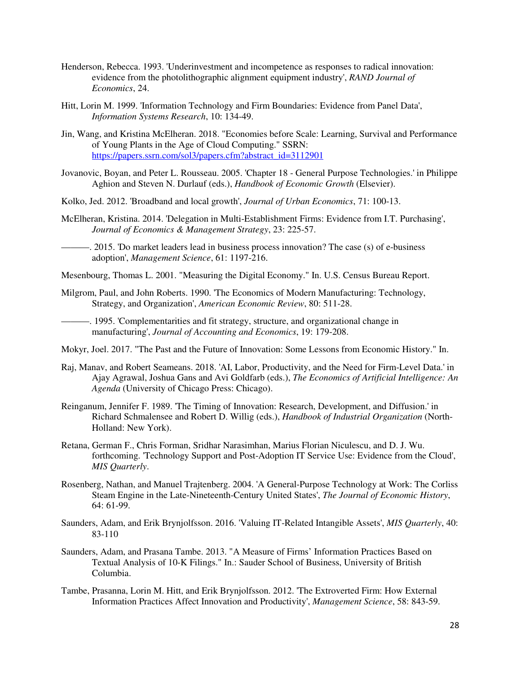- Henderson, Rebecca. 1993. 'Underinvestment and incompetence as responses to radical innovation: evidence from the photolithographic alignment equipment industry', *RAND Journal of Economics*, 24.
- Hitt, Lorin M. 1999. 'Information Technology and Firm Boundaries: Evidence from Panel Data', *Information Systems Research*, 10: 134-49.
- Jin, Wang, and Kristina McElheran. 2018. "Economies before Scale: Learning, Survival and Performance of Young Plants in the Age of Cloud Computing." SSRN: https://papers.ssrn.com/sol3/papers.cfm?abstract\_id=3112901
- Jovanovic, Boyan, and Peter L. Rousseau. 2005. 'Chapter 18 General Purpose Technologies.' in Philippe Aghion and Steven N. Durlauf (eds.), *Handbook of Economic Growth* (Elsevier).
- Kolko, Jed. 2012. 'Broadband and local growth', *Journal of Urban Economics*, 71: 100-13.
- McElheran, Kristina. 2014. 'Delegation in Multi-Establishment Firms: Evidence from I.T. Purchasing', *Journal of Economics & Management Strategy*, 23: 225-57.

———. 2015. 'Do market leaders lead in business process innovation? The case (s) of e-business adoption', *Management Science*, 61: 1197-216.

Mesenbourg, Thomas L. 2001. "Measuring the Digital Economy." In. U.S. Census Bureau Report.

Milgrom, Paul, and John Roberts. 1990. 'The Economics of Modern Manufacturing: Technology, Strategy, and Organization', *American Economic Review*, 80: 511-28.

———. 1995. 'Complementarities and fit strategy, structure, and organizational change in manufacturing', *Journal of Accounting and Economics*, 19: 179-208.

- Mokyr, Joel. 2017. "The Past and the Future of Innovation: Some Lessons from Economic History." In.
- Raj, Manav, and Robert Seameans. 2018. 'AI, Labor, Productivity, and the Need for Firm-Level Data.' in Ajay Agrawal, Joshua Gans and Avi Goldfarb (eds.), *The Economics of Artificial Intelligence: An Agenda* (University of Chicago Press: Chicago).
- Reinganum, Jennifer F. 1989. 'The Timing of Innovation: Research, Development, and Diffusion.' in Richard Schmalensee and Robert D. Willig (eds.), *Handbook of Industrial Organization* (North-Holland: New York).
- Retana, German F., Chris Forman, Sridhar Narasimhan, Marius Florian Niculescu, and D. J. Wu. forthcoming. 'Technology Support and Post-Adoption IT Service Use: Evidence from the Cloud', *MIS Quarterly*.
- Rosenberg, Nathan, and Manuel Trajtenberg. 2004. 'A General-Purpose Technology at Work: The Corliss Steam Engine in the Late-Nineteenth-Century United States', *The Journal of Economic History*, 64: 61-99.
- Saunders, Adam, and Erik Brynjolfsson. 2016. 'Valuing IT-Related Intangible Assets', *MIS Quarterly*, 40: 83-110
- Saunders, Adam, and Prasana Tambe. 2013. "A Measure of Firms' Information Practices Based on Textual Analysis of 10-K Filings." In.: Sauder School of Business, University of British Columbia.
- Tambe, Prasanna, Lorin M. Hitt, and Erik Brynjolfsson. 2012. 'The Extroverted Firm: How External Information Practices Affect Innovation and Productivity', *Management Science*, 58: 843-59.